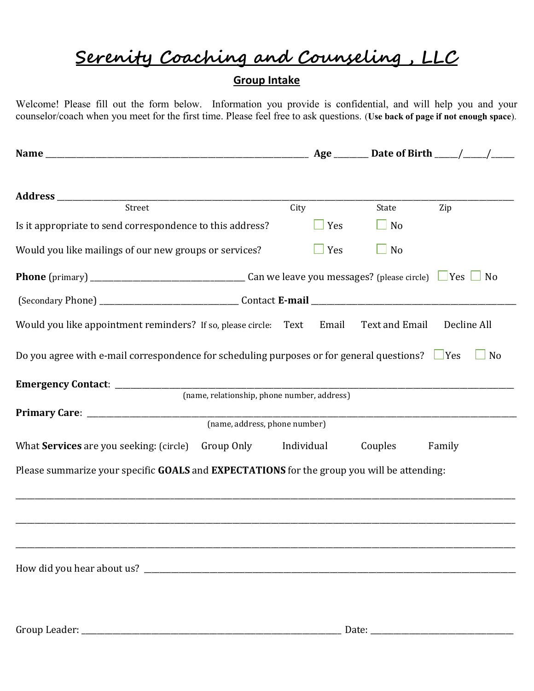## Serenity Coaching and Counseling , LLC

## Group Intake

Welcome! Please fill out the form below. Information you provide is confidential, and will help you and your counselor/coach when you meet for the first time. Please feel free to ask questions. (Use back of page if not enough space).

| Street                                                                                               |                                                               | City |            | State     | Zip         |  |
|------------------------------------------------------------------------------------------------------|---------------------------------------------------------------|------|------------|-----------|-------------|--|
| Is it appropriate to send correspondence to this address?                                            |                                                               |      | $\Box$ Yes | $\Box$ No |             |  |
| Would you like mailings of our new groups or services?                                               |                                                               |      | $\Box$ Yes | $\Box$ No |             |  |
|                                                                                                      |                                                               |      |            |           |             |  |
|                                                                                                      |                                                               |      |            |           |             |  |
| Would you like appointment reminders? If so, please circle: Text Email Text and Email                |                                                               |      |            |           | Decline All |  |
| Do you agree with e-mail correspondence for scheduling purposes or for general questions? $\Box$ Yes |                                                               |      |            |           | $\Box$ No   |  |
|                                                                                                      |                                                               |      |            |           |             |  |
|                                                                                                      | (name, relationship, phone number, address)                   |      |            |           |             |  |
|                                                                                                      | (name, address, phone number)                                 |      |            |           |             |  |
|                                                                                                      |                                                               |      |            |           |             |  |
|                                                                                                      | What Services are you seeking: (circle) Group Only Individual |      |            | Couples   | Family      |  |
| Please summarize your specific GOALS and EXPECTATIONS for the group you will be attending:           |                                                               |      |            |           |             |  |
|                                                                                                      |                                                               |      |            |           |             |  |
|                                                                                                      |                                                               |      |            |           |             |  |
|                                                                                                      |                                                               |      |            |           |             |  |
|                                                                                                      |                                                               |      |            |           |             |  |
|                                                                                                      |                                                               |      |            |           |             |  |

Group Leader: \_\_\_\_\_\_\_\_\_\_\_\_\_\_\_\_\_\_\_\_\_\_\_\_\_\_\_\_\_\_\_\_\_\_\_\_\_\_\_\_\_\_\_\_\_\_\_\_\_\_\_\_\_\_\_\_\_\_\_\_\_\_\_\_\_\_\_ Date: \_\_\_\_\_\_\_\_\_\_\_\_\_\_\_\_\_\_\_\_\_\_\_\_\_\_\_\_\_\_\_\_\_\_\_\_\_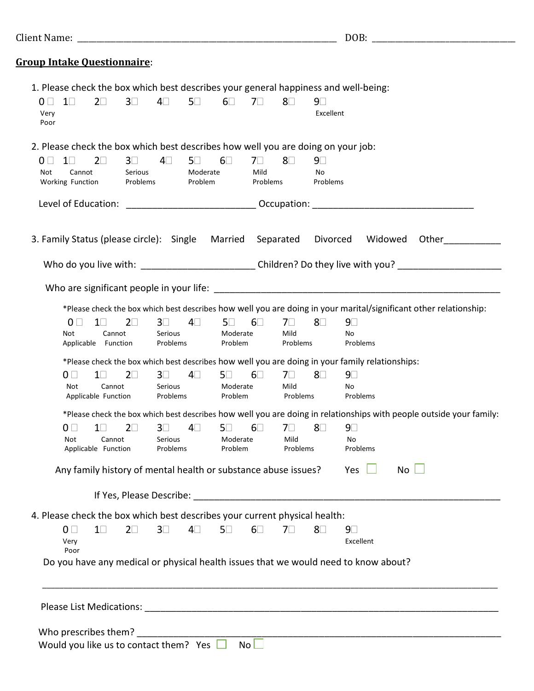|                                                                                  |                                                                |            |                       |            |                        |            | DOB:<br><u> 2000 - Jan Jan James, martin din bashkritik (h. 1878)</u> |            |                                                                                                                     |  |  |
|----------------------------------------------------------------------------------|----------------------------------------------------------------|------------|-----------------------|------------|------------------------|------------|-----------------------------------------------------------------------|------------|---------------------------------------------------------------------------------------------------------------------|--|--|
| <b>Group Intake Questionnaire:</b>                                               |                                                                |            |                       |            |                        |            |                                                                       |            |                                                                                                                     |  |  |
|                                                                                  |                                                                |            |                       |            |                        |            |                                                                       |            | 1. Please check the box which best describes your general happiness and well-being:                                 |  |  |
| $1\Box$<br>$0 \perp$                                                             | $2\square$                                                     | $3\square$ | $4\square$            | $5\square$ | $6\square$             | 7□         | 8⊟                                                                    | 9⊡         |                                                                                                                     |  |  |
| Very                                                                             |                                                                |            |                       |            |                        |            |                                                                       | Excellent  |                                                                                                                     |  |  |
| Poor                                                                             |                                                                |            |                       |            |                        |            |                                                                       |            |                                                                                                                     |  |  |
| 2. Please check the box which best describes how well you are doing on your job: |                                                                |            |                       |            |                        |            |                                                                       |            |                                                                                                                     |  |  |
| 0 <sub>0</sub><br>$1\square$                                                     | $2\square$                                                     | $3\square$ | $4\square$            | $5\square$ | $6\square$             | $7\square$ | 8⊟                                                                    | $9\square$ |                                                                                                                     |  |  |
| Not<br>Cannot                                                                    |                                                                | Serious    |                       | Moderate   |                        | Mild       |                                                                       | No         |                                                                                                                     |  |  |
| Working Function                                                                 |                                                                | Problems   |                       | Problem    |                        | Problems   |                                                                       | Problems   |                                                                                                                     |  |  |
|                                                                                  |                                                                |            |                       |            |                        |            |                                                                       |            |                                                                                                                     |  |  |
|                                                                                  |                                                                |            |                       |            |                        |            |                                                                       |            |                                                                                                                     |  |  |
| 3. Family Status (please circle): Single Married                                 |                                                                |            |                       |            |                        |            | Separated                                                             | Divorced   | Widowed<br>Other                                                                                                    |  |  |
|                                                                                  |                                                                |            |                       |            |                        |            |                                                                       |            |                                                                                                                     |  |  |
|                                                                                  |                                                                |            |                       |            |                        |            |                                                                       |            | Who do you live with: ______________________________Children? Do they live with you? _________________________      |  |  |
|                                                                                  |                                                                |            |                       |            |                        |            |                                                                       |            |                                                                                                                     |  |  |
|                                                                                  |                                                                |            |                       |            |                        |            |                                                                       |            |                                                                                                                     |  |  |
|                                                                                  |                                                                |            |                       |            |                        |            |                                                                       |            | *Please check the box which best describes how well you are doing in your marital/significant other relationship:   |  |  |
| $0 \mid \cdot$                                                                   | $1\Box$                                                        | $2\square$ | $3\square$<br>Serious | $4\square$ | $5\square$<br>Moderate | $6\square$ | 70<br>Mild                                                            | 8⊡         | $9\square$                                                                                                          |  |  |
| Not                                                                              | Cannot<br>Applicable Function                                  |            | Problems              |            | Problem                |            | Problems                                                              |            | No<br>Problems                                                                                                      |  |  |
|                                                                                  |                                                                |            |                       |            |                        |            |                                                                       |            |                                                                                                                     |  |  |
|                                                                                  |                                                                |            |                       |            |                        |            |                                                                       |            | *Please check the box which best describes how well you are doing in your family relationships:                     |  |  |
| 0 <sub>l</sub><br>Not                                                            | $1\square$                                                     | $2\square$ | $3\square$<br>Serious | 4⊟         | $5\square$<br>Moderate | $6\square$ | 7□<br>Mild                                                            | 8⊡         | $9\square$                                                                                                          |  |  |
|                                                                                  | Cannot<br>Applicable Function                                  |            | Problems              |            | Problem                |            | Problems                                                              |            | No<br>Problems                                                                                                      |  |  |
|                                                                                  |                                                                |            |                       |            |                        |            |                                                                       |            | *Please check the box which best describes how well you are doing in relationships with people outside your family: |  |  |
|                                                                                  |                                                                |            | $3\square$            |            |                        |            | $4\Box$ 5 $\Box$ 6 $\Box$ 7 $\Box$ 8 $\Box$ 9 $\Box$                  |            |                                                                                                                     |  |  |
| $0\square$<br>Not                                                                | $1 \Box$<br>Cannot                                             | $2\Box$    | Serious               |            | Moderate               |            | Mild                                                                  |            | No                                                                                                                  |  |  |
|                                                                                  | Applicable Function                                            |            | Problems              |            | Problem                |            | Problems                                                              |            | Problems                                                                                                            |  |  |
|                                                                                  |                                                                |            |                       |            |                        |            |                                                                       |            |                                                                                                                     |  |  |
|                                                                                  | Any family history of mental health or substance abuse issues? |            |                       |            |                        |            |                                                                       |            | $No$ $\Box$<br>Yes                                                                                                  |  |  |
|                                                                                  |                                                                |            |                       |            |                        |            |                                                                       |            |                                                                                                                     |  |  |
| 4. Please check the box which best describes your current physical health:       |                                                                |            |                       |            |                        |            |                                                                       |            |                                                                                                                     |  |  |
| 0 <sub>0</sub>                                                                   | $1\square$                                                     | $2\square$ | $3\square$            | $4\square$ | $5\square$             | $6\square$ | 70                                                                    | 8⊟         | 9⊟                                                                                                                  |  |  |
| Very                                                                             |                                                                |            |                       |            |                        |            |                                                                       |            | Excellent                                                                                                           |  |  |
| Poor                                                                             |                                                                |            |                       |            |                        |            |                                                                       |            |                                                                                                                     |  |  |
|                                                                                  |                                                                |            |                       |            |                        |            |                                                                       |            | Do you have any medical or physical health issues that we would need to know about?                                 |  |  |
|                                                                                  |                                                                |            |                       |            |                        |            |                                                                       |            |                                                                                                                     |  |  |
|                                                                                  |                                                                |            |                       |            |                        |            |                                                                       |            |                                                                                                                     |  |  |
|                                                                                  |                                                                |            |                       |            |                        |            |                                                                       |            |                                                                                                                     |  |  |
|                                                                                  |                                                                |            |                       |            |                        |            |                                                                       |            |                                                                                                                     |  |  |
| Who prescribes them?                                                             |                                                                |            |                       |            |                        |            |                                                                       |            |                                                                                                                     |  |  |
| Would you like us to contact them? Yes $\Box$                                    |                                                                |            |                       |            |                        | No         |                                                                       |            |                                                                                                                     |  |  |
|                                                                                  |                                                                |            |                       |            |                        |            |                                                                       |            |                                                                                                                     |  |  |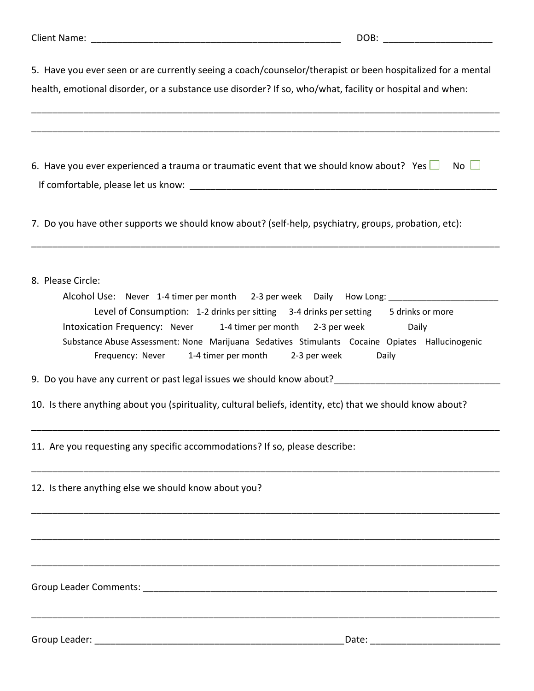| Client Name: _                                                                                              | DOB:                                                                                                                    |  |  |  |  |  |
|-------------------------------------------------------------------------------------------------------------|-------------------------------------------------------------------------------------------------------------------------|--|--|--|--|--|
| 5. Have you ever seen or are currently seeing a coach/counselor/therapist or been hospitalized for a mental |                                                                                                                         |  |  |  |  |  |
| health, emotional disorder, or a substance use disorder? If so, who/what, facility or hospital and when:    |                                                                                                                         |  |  |  |  |  |
|                                                                                                             |                                                                                                                         |  |  |  |  |  |
| 6. Have you ever experienced a trauma or traumatic event that we should know about? Yes                     | $No$ $\Box$                                                                                                             |  |  |  |  |  |
|                                                                                                             |                                                                                                                         |  |  |  |  |  |
| 7. Do you have other supports we should know about? (self-help, psychiatry, groups, probation, etc):        |                                                                                                                         |  |  |  |  |  |
| 8. Please Circle:                                                                                           |                                                                                                                         |  |  |  |  |  |
| Alcohol Use: Never 1-4 timer per month 2-3 per week                                                         | Daily                                                                                                                   |  |  |  |  |  |
|                                                                                                             | Level of Consumption: 1-2 drinks per sitting 3-4 drinks per setting 5 drinks or more                                    |  |  |  |  |  |
| Intoxication Frequency: Never                                                                               | 1-4 timer per month<br>2-3 per week<br>Daily                                                                            |  |  |  |  |  |
| Frequency: Never<br>1-4 timer per month                                                                     | Substance Abuse Assessment: None Marijuana Sedatives Stimulants Cocaine Opiates Hallucinogenic<br>2-3 per week<br>Daily |  |  |  |  |  |
| 9. Do you have any current or past legal issues we should know about?_______________________________        |                                                                                                                         |  |  |  |  |  |
| 10. Is there anything about you (spirituality, cultural beliefs, identity, etc) that we should know about?  |                                                                                                                         |  |  |  |  |  |
| 11. Are you requesting any specific accommodations? If so, please describe:                                 |                                                                                                                         |  |  |  |  |  |

\_\_\_\_\_\_\_\_\_\_\_\_\_\_\_\_\_\_\_\_\_\_\_\_\_\_\_\_\_\_\_\_\_\_\_\_\_\_\_\_\_\_\_\_\_\_\_\_\_\_\_\_\_\_\_\_\_\_\_\_\_\_\_\_\_\_\_\_\_\_\_\_\_\_\_\_\_\_\_\_\_\_\_\_\_\_\_\_\_\_

\_\_\_\_\_\_\_\_\_\_\_\_\_\_\_\_\_\_\_\_\_\_\_\_\_\_\_\_\_\_\_\_\_\_\_\_\_\_\_\_\_\_\_\_\_\_\_\_\_\_\_\_\_\_\_\_\_\_\_\_\_\_\_\_\_\_\_\_\_\_\_\_\_\_\_\_\_\_\_\_\_\_\_\_\_\_\_\_\_\_

\_\_\_\_\_\_\_\_\_\_\_\_\_\_\_\_\_\_\_\_\_\_\_\_\_\_\_\_\_\_\_\_\_\_\_\_\_\_\_\_\_\_\_\_\_\_\_\_\_\_\_\_\_\_\_\_\_\_\_\_\_\_\_\_\_\_\_\_\_\_\_\_\_\_\_\_\_\_\_\_\_\_\_\_\_\_\_\_\_\_

\_\_\_\_\_\_\_\_\_\_\_\_\_\_\_\_\_\_\_\_\_\_\_\_\_\_\_\_\_\_\_\_\_\_\_\_\_\_\_\_\_\_\_\_\_\_\_\_\_\_\_\_\_\_\_\_\_\_\_\_\_\_\_\_\_\_\_\_\_\_\_\_\_\_\_\_\_\_\_\_\_\_\_\_\_\_\_\_\_\_

12. Is there anything else we should know about you?

Group Leader Comments: \_\_\_\_\_\_\_\_\_\_\_\_\_\_\_\_\_\_\_\_\_\_\_\_\_\_\_\_\_\_\_\_\_\_\_\_\_\_\_\_\_\_\_\_\_\_\_\_\_\_\_\_\_\_\_\_\_\_\_\_\_\_\_\_\_\_\_\_

Group Leader: \_\_\_\_\_\_\_\_\_\_\_\_\_\_\_\_\_\_\_\_\_\_\_\_\_\_\_\_\_\_\_\_\_\_\_\_\_\_\_\_\_\_\_\_\_\_\_\_ Date: \_\_\_\_\_\_\_\_\_\_\_\_\_\_\_\_\_\_\_\_\_\_\_\_\_